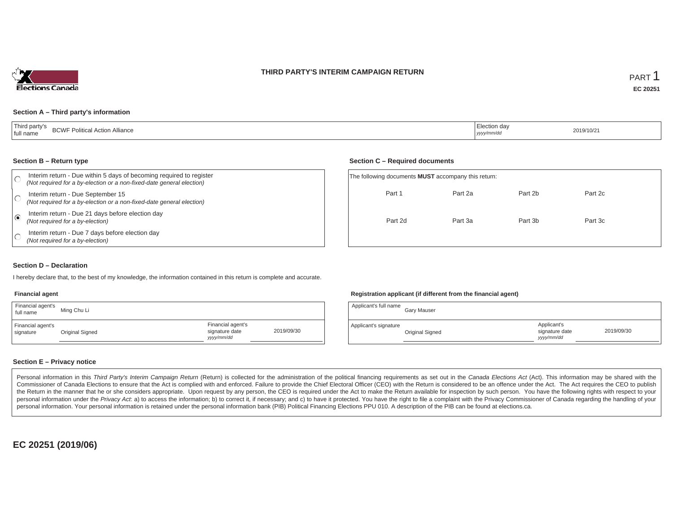### **THIRD PARTY'S INTERIM CAMPAIGN RETURN**



### **Section A – Third party's information**

| 'Third party's<br>$\cdots$<br>$P$ $N$<br>I Action Alliance<br>.- Politica'<br><b>BUWF</b><br>' full name | lection dav<br>yyyy/mm/dd | 2019/10/2 |
|----------------------------------------------------------------------------------------------------------|---------------------------|-----------|
|----------------------------------------------------------------------------------------------------------|---------------------------|-----------|

#### **Section B – Return type**

| Interim return - Due within 5 days of becoming required to register<br>(Not required for a by-election or a non-fixed-date general election) | The following documents <b>MUST</b> accompany this return: |         |         |         |  |
|----------------------------------------------------------------------------------------------------------------------------------------------|------------------------------------------------------------|---------|---------|---------|--|
| Interim return - Due September 15<br>(Not required for a by-election or a non-fixed-date general election)                                   | Part 1                                                     | Part 2a | Part 2b | Part 2c |  |
| Interim return - Due 21 days before election day<br>(Not required for a by-election)                                                         | Part 2d                                                    | Part 3a | Part 3b | Part 3c |  |
| Interim return - Due 7 days before election day<br>(Not required for a by-election)                                                          |                                                            |         |         |         |  |

#### **Section D – Declaration**

I hereby declare that, to the best of my knowledge, the information contained in this return is complete and accurate.

#### **Financial agent**

| Financial agent's<br>full name | Ming Chu Li     |                                                  |            |
|--------------------------------|-----------------|--------------------------------------------------|------------|
| Financial agent's<br>signature | Original Signed | Financial agent's<br>signature date<br>vyy/mm/dd | 2019/09/30 |

### **Registration applicant (if different from the financial agent)**

| Applicant's full name | Gary Mauser     |                                            |            |
|-----------------------|-----------------|--------------------------------------------|------------|
| Applicant's signature | Original Signed | Applicant's<br>signature date<br>vyy/mm/dd | 2019/09/30 |

### **Section E – Privacy notice**

Personal information in this Third Party's Interim Campaign Return (Return) is collected for the administration of the political financing requirements as set out in the Canada Elections Act (Act). This information may be Commissioner of Canada Elections to ensure that the Act is complied with and enforced. Failure to provide the Chief Electoral Officer (CEO) with the Return is considered to be an offence under the Act. The Act requires the the Return in the manner that he or she considers appropriate. Upon request by any person, the CEO is required under the Act to make the Return available for inspection by such person. You have the following rights with re personal information under the Privacy Act. a) to access the information; b) to correct it, if necessary; and c) to have it protected. You have the right to file a complaint with the Privacy Commissioner of Canada regardin personal information. Your personal information is retained under the personal information bank (PIB) Political Financing Elections PPU 010. A description of the PIB can be found at elections.ca.

**EC 20251 (2019/06)**

#### **Section C – Required documents**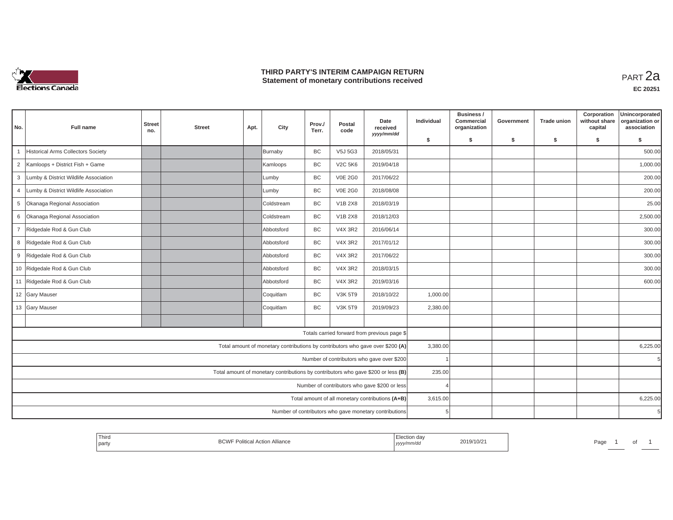

## **THIRD PARTY'S INTERIM CAMPAIGN RETURN THIRD PARTY'S INTERIM CAMPAIGN RETURN<br>Statement of monetary contributions received PART 2a**

| No.            | Full name                             | <b>Street</b><br>no. | <b>Street</b> | Apt. | City       | Prov./<br>Terr. | Postal<br>code | Date<br>received<br>yyyy/mm/dd                                                    | Individual | Business /<br>Commercial<br>organization | Government | <b>Trade union</b> | Corporation<br>without share<br>capital | Unincorporated<br>organization or<br>association |
|----------------|---------------------------------------|----------------------|---------------|------|------------|-----------------|----------------|-----------------------------------------------------------------------------------|------------|------------------------------------------|------------|--------------------|-----------------------------------------|--------------------------------------------------|
|                |                                       |                      |               |      |            |                 |                |                                                                                   | \$         | s.                                       | \$         | S.                 | \$                                      | Ŝ.                                               |
|                | Historical Arms Collectors Society    |                      |               |      | Burnaby    | BC              | V5J 5G3        | 2018/05/31                                                                        |            |                                          |            |                    |                                         | 500.00                                           |
| $\overline{2}$ | Kamloops + District Fish + Game       |                      |               |      | Kamloops   | BC              | <b>V2C 5K6</b> | 2019/04/18                                                                        |            |                                          |            |                    |                                         | 1,000.00                                         |
| 3              | Lumby & District Wildlife Association |                      |               |      | Lumby      | <b>BC</b>       | <b>V0E 2G0</b> | 2017/06/22                                                                        |            |                                          |            |                    |                                         | 200.00                                           |
| 4              | Lumby & District Wildlife Association |                      |               |      | Lumby      | BC              | <b>V0E 2G0</b> | 2018/08/08                                                                        |            |                                          |            |                    |                                         | 200.00                                           |
| 5              | Okanaga Regional Association          |                      |               |      | Coldstream | BC              | <b>V1B 2X8</b> | 2018/03/19                                                                        |            |                                          |            |                    |                                         | 25.00                                            |
| 6              | Okanaga Regional Association          |                      |               |      | Coldstream | BC              | <b>V1B 2X8</b> | 2018/12/03                                                                        |            |                                          |            |                    |                                         | 2,500.00                                         |
| $\overline{7}$ | Ridgedale Rod & Gun Club              |                      |               |      | Abbotsford | <b>BC</b>       | <b>V4X 3R2</b> | 2016/06/14                                                                        |            |                                          |            |                    |                                         | 300.00                                           |
| 8              | Ridgedale Rod & Gun Club              |                      |               |      | Abbotsford | <b>BC</b>       | <b>V4X 3R2</b> | 2017/01/12                                                                        |            |                                          |            |                    |                                         | 300.00                                           |
|                | 9 Ridgedale Rod & Gun Club            |                      |               |      | Abbotsford | <b>BC</b>       | <b>V4X 3R2</b> | 2017/06/22                                                                        |            |                                          |            |                    |                                         | 300.00                                           |
|                | 10 Ridgedale Rod & Gun Club           |                      |               |      | Abbotsford | <b>BC</b>       | <b>V4X 3R2</b> | 2018/03/15                                                                        |            |                                          |            |                    |                                         | 300.00                                           |
|                | 11 Ridgedale Rod & Gun Club           |                      |               |      | Abbotsford | BC              | <b>V4X 3R2</b> | 2019/03/16                                                                        |            |                                          |            |                    |                                         | 600.00                                           |
|                | 12 Gary Mauser                        |                      |               |      | Coquitlam  | BC              | <b>V3K 5T9</b> | 2018/10/22                                                                        | 1,000.00   |                                          |            |                    |                                         |                                                  |
|                | 13 Gary Mauser                        |                      |               |      | Coquitlam  | BC              | <b>V3K 5T9</b> | 2019/09/23                                                                        | 2,380.00   |                                          |            |                    |                                         |                                                  |
|                |                                       |                      |               |      |            |                 |                |                                                                                   |            |                                          |            |                    |                                         |                                                  |
|                |                                       |                      |               |      |            |                 |                | Totals carried forward from previous page \$                                      |            |                                          |            |                    |                                         |                                                  |
|                |                                       |                      |               |      |            |                 |                | Total amount of monetary contributions by contributors who gave over \$200 (A)    | 3,380.00   |                                          |            |                    |                                         | 6,225.00                                         |
|                |                                       |                      |               |      |            |                 |                | Number of contributors who gave over \$200                                        |            |                                          |            |                    |                                         | 5                                                |
|                |                                       |                      |               |      |            |                 |                | Total amount of monetary contributions by contributors who gave \$200 or less (B) | 235.00     |                                          |            |                    |                                         |                                                  |
|                |                                       |                      |               |      |            |                 |                | Number of contributors who gave \$200 or less                                     |            |                                          |            |                    |                                         |                                                  |
|                |                                       |                      |               |      |            |                 |                | Total amount of all monetary contributions (A+B)                                  | 3,615.00   |                                          |            |                    |                                         | 6,225.00                                         |
|                |                                       |                      |               |      |            |                 |                | Number of contributors who gave monetary contributions                            | 5          |                                          |            |                    |                                         |                                                  |

| Third<br>⊨lection da∖<br>2019/10/2<br>Page<br>tical Action Alliance<br>l partv<br>ا ۷ با ۱<br><i><u><u>v/mm/u</u></u></i><br>1,7,7,7<br>$\cdots$ | וש |  |  |
|--------------------------------------------------------------------------------------------------------------------------------------------------|----|--|--|
|--------------------------------------------------------------------------------------------------------------------------------------------------|----|--|--|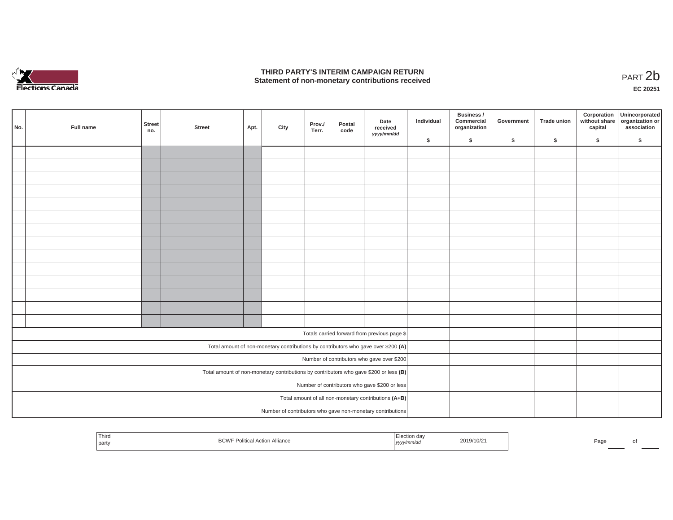

## **THIRD PARTY'S INTERIM CAMPAIGN RETURN**  THIRD PARTY'S INTERIM CAMPAIGN RETURN<br>Statement of non-monetary contributions received<br>**PART 2**b

**EC 20251**

| No. | Full name | Street<br>no. | <b>Street</b> | Apt. | City | Prov./<br>Terr. | Postal<br>code | Date<br>received<br>yyyy/mm/dd                                                        | Individual | Business /<br>Commercial<br>organization | Government | Trade union | Corporation<br>capital | Unincorporated<br>without share organization or<br>association |
|-----|-----------|---------------|---------------|------|------|-----------------|----------------|---------------------------------------------------------------------------------------|------------|------------------------------------------|------------|-------------|------------------------|----------------------------------------------------------------|
|     |           |               |               |      |      |                 |                |                                                                                       | \$         | $\mathsf{s}$                             | \$         | $\sqrt{2}$  | \$                     | \$                                                             |
|     |           |               |               |      |      |                 |                |                                                                                       |            |                                          |            |             |                        |                                                                |
|     |           |               |               |      |      |                 |                |                                                                                       |            |                                          |            |             |                        |                                                                |
|     |           |               |               |      |      |                 |                |                                                                                       |            |                                          |            |             |                        |                                                                |
|     |           |               |               |      |      |                 |                |                                                                                       |            |                                          |            |             |                        |                                                                |
|     |           |               |               |      |      |                 |                |                                                                                       |            |                                          |            |             |                        |                                                                |
|     |           |               |               |      |      |                 |                |                                                                                       |            |                                          |            |             |                        |                                                                |
|     |           |               |               |      |      |                 |                |                                                                                       |            |                                          |            |             |                        |                                                                |
|     |           |               |               |      |      |                 |                |                                                                                       |            |                                          |            |             |                        |                                                                |
|     |           |               |               |      |      |                 |                |                                                                                       |            |                                          |            |             |                        |                                                                |
|     |           |               |               |      |      |                 |                |                                                                                       |            |                                          |            |             |                        |                                                                |
|     |           |               |               |      |      |                 |                |                                                                                       |            |                                          |            |             |                        |                                                                |
|     |           |               |               |      |      |                 |                |                                                                                       |            |                                          |            |             |                        |                                                                |
|     |           |               |               |      |      |                 |                |                                                                                       |            |                                          |            |             |                        |                                                                |
|     |           |               |               |      |      |                 |                |                                                                                       |            |                                          |            |             |                        |                                                                |
|     |           |               |               |      |      |                 |                |                                                                                       |            |                                          |            |             |                        |                                                                |
|     |           |               |               |      |      |                 |                | Totals carried forward from previous page \$                                          |            |                                          |            |             |                        |                                                                |
|     |           |               |               |      |      |                 |                | Total amount of non-monetary contributions by contributors who gave over \$200 (A)    |            |                                          |            |             |                        |                                                                |
|     |           |               |               |      |      |                 |                | Number of contributors who gave over \$200                                            |            |                                          |            |             |                        |                                                                |
|     |           |               |               |      |      |                 |                | Total amount of non-monetary contributions by contributors who gave \$200 or less (B) |            |                                          |            |             |                        |                                                                |
|     |           |               |               |      |      |                 |                | Number of contributors who gave \$200 or less                                         |            |                                          |            |             |                        |                                                                |
|     |           |               |               |      |      |                 |                | Total amount of all non-monetary contributions (A+B)                                  |            |                                          |            |             |                        |                                                                |
|     |           |               |               |      |      |                 |                | Number of contributors who gave non-monetary contributions                            |            |                                          |            |             |                        |                                                                |
|     |           |               |               |      |      |                 |                |                                                                                       |            |                                          |            |             |                        |                                                                |

| <sup>l</sup> Third<br>l party | $\sim$<br>Alliance<br><b>DUVV</b> | JUULUO'<br>тникас<br>$\begin{array}{c} \hline \end{array}$ | 2019/10/21 | Pag |  |
|-------------------------------|-----------------------------------|------------------------------------------------------------|------------|-----|--|
|                               |                                   |                                                            |            |     |  |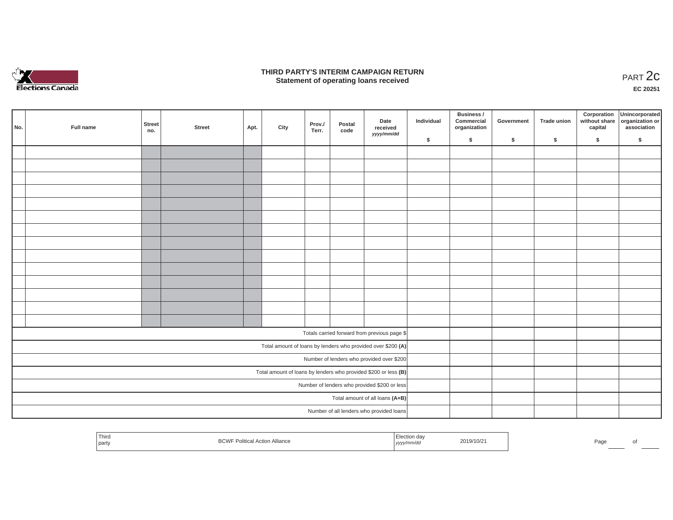

### **THIRD PARTY'S INTERIM CAMPAIGN RETURN**  RD PARTY'S INTERIM CAMPAIGN RETURN<br>Statement of operating loans received **PART 2c**

**EC 20251**

| No. | Full name | Street<br>no. | <b>Street</b> | Apt. | City | Prov./<br>Terr. | Postal<br>code | Date<br>received<br>yyyy/mm/dd                                    | Individual | Business /<br>Commercial<br>organization | Government | Trade union | Corporation<br>capital | Unincorporated<br>without share organization or<br>association |
|-----|-----------|---------------|---------------|------|------|-----------------|----------------|-------------------------------------------------------------------|------------|------------------------------------------|------------|-------------|------------------------|----------------------------------------------------------------|
|     |           |               |               |      |      |                 |                |                                                                   | \$         | \$                                       | \$         | \$          | \$                     | \$                                                             |
|     |           |               |               |      |      |                 |                |                                                                   |            |                                          |            |             |                        |                                                                |
|     |           |               |               |      |      |                 |                |                                                                   |            |                                          |            |             |                        |                                                                |
|     |           |               |               |      |      |                 |                |                                                                   |            |                                          |            |             |                        |                                                                |
|     |           |               |               |      |      |                 |                |                                                                   |            |                                          |            |             |                        |                                                                |
|     |           |               |               |      |      |                 |                |                                                                   |            |                                          |            |             |                        |                                                                |
|     |           |               |               |      |      |                 |                |                                                                   |            |                                          |            |             |                        |                                                                |
|     |           |               |               |      |      |                 |                |                                                                   |            |                                          |            |             |                        |                                                                |
|     |           |               |               |      |      |                 |                |                                                                   |            |                                          |            |             |                        |                                                                |
|     |           |               |               |      |      |                 |                |                                                                   |            |                                          |            |             |                        |                                                                |
|     |           |               |               |      |      |                 |                |                                                                   |            |                                          |            |             |                        |                                                                |
|     |           |               |               |      |      |                 |                |                                                                   |            |                                          |            |             |                        |                                                                |
|     |           |               |               |      |      |                 |                |                                                                   |            |                                          |            |             |                        |                                                                |
|     |           |               |               |      |      |                 |                |                                                                   |            |                                          |            |             |                        |                                                                |
|     |           |               |               |      |      |                 |                |                                                                   |            |                                          |            |             |                        |                                                                |
|     |           |               |               |      |      |                 |                |                                                                   |            |                                          |            |             |                        |                                                                |
|     |           |               |               |      |      |                 |                | Totals carried forward from previous page \$                      |            |                                          |            |             |                        |                                                                |
|     |           |               |               |      |      |                 |                | Total amount of loans by lenders who provided over \$200 (A)      |            |                                          |            |             |                        |                                                                |
|     |           |               |               |      |      |                 |                | Number of lenders who provided over \$200                         |            |                                          |            |             |                        |                                                                |
|     |           |               |               |      |      |                 |                | Total amount of loans by lenders who provided \$200 or less $(B)$ |            |                                          |            |             |                        |                                                                |
|     |           |               |               |      |      |                 |                | Number of lenders who provided \$200 or less                      |            |                                          |            |             |                        |                                                                |
|     |           |               |               |      |      |                 |                | Total amount of all loans (A+B)                                   |            |                                          |            |             |                        |                                                                |
|     |           |               |               |      |      |                 |                | Number of all lenders who provided loans                          |            |                                          |            |             |                        |                                                                |

| Third<br>$A^{\Omega}$<br>ection dav<br>2019/10/2<br>. Actior<br>Alliance<br>PoliticaL ∈<br>Page<br>DUVV<br>party<br>™mm/a⊾<br>נעצען |
|-------------------------------------------------------------------------------------------------------------------------------------|
|-------------------------------------------------------------------------------------------------------------------------------------|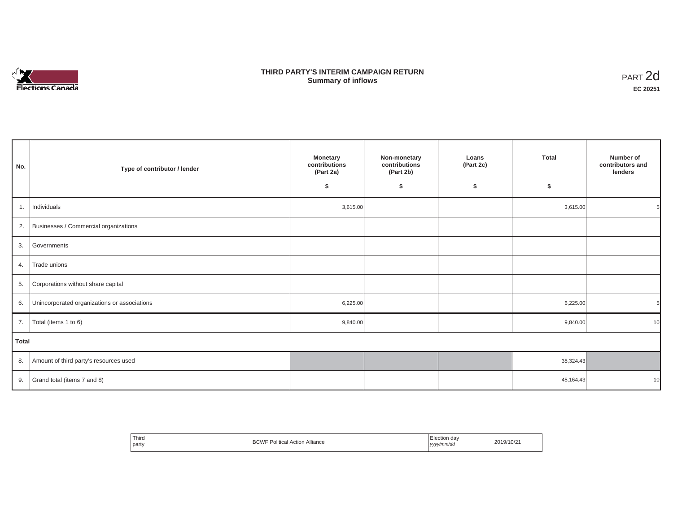

## **THIRD PARTY'S INTERIM CAMPAIGN RETURN SUMMARY STATE SUMMARY OF A SUMMARY OF A SUMMARY OF A SUMMARY OF A SUMMARY OF A SUMMARY OF A SUMMARY OF A SUMMA**<br> **Summary of inflows**

| No.          | Type of contributor / lender                    | <b>Monetary</b><br>contributions<br>(Part 2a)<br>\$ | Non-monetary<br>contributions<br>(Part 2b)<br>\$ | Loans<br>(Part 2c)<br>\$ | <b>Total</b><br>\$ | Number of<br>contributors and<br>lenders |
|--------------|-------------------------------------------------|-----------------------------------------------------|--------------------------------------------------|--------------------------|--------------------|------------------------------------------|
| 1.           | Individuals                                     | 3,615.00                                            |                                                  |                          | 3,615.00           |                                          |
|              | 2. Businesses / Commercial organizations        |                                                     |                                                  |                          |                    |                                          |
|              | 3. Governments                                  |                                                     |                                                  |                          |                    |                                          |
| 4.           | Trade unions                                    |                                                     |                                                  |                          |                    |                                          |
|              | 5. Corporations without share capital           |                                                     |                                                  |                          |                    |                                          |
|              | 6. Unincorporated organizations or associations | 6,225.00                                            |                                                  |                          | 6,225.00           |                                          |
| 7.           | Total (items 1 to 6)                            | 9,840.00                                            |                                                  |                          | 9,840.00           | 10                                       |
| <b>Total</b> |                                                 |                                                     |                                                  |                          |                    |                                          |
|              | 8. Amount of third party's resources used       |                                                     |                                                  |                          | 35,324.43          |                                          |
|              | 9. Grand total (items $7$ and $8$ )             |                                                     |                                                  |                          | 45,164.43          | 10                                       |

| Third<br>party | 'olitical<br><b>Action Alliance</b> | ection dav<br>www/mm/do<br>,,,, | 2019/10/21 |
|----------------|-------------------------------------|---------------------------------|------------|
|----------------|-------------------------------------|---------------------------------|------------|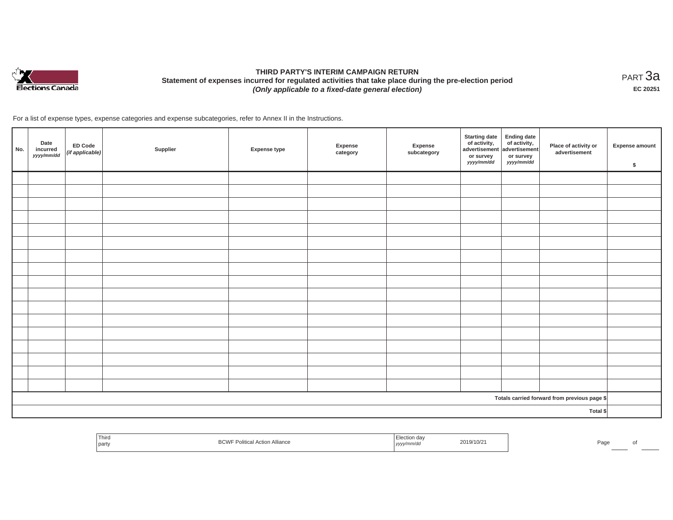

# **THIRD PARTY'S INTERIM CAMPAIGN RETURN Statement of expenses incurred for regulated activities that take place during the pre-election period**  *(Only applicable to a fixed-date general election)*

<code>PART $3$ a</code> **EC 20251**

For a list of expense types, expense categories and expense subcategories, refer to Annex II in the Instructions.

| No. | Date<br>incurred<br>yyyy/mm/dd | <b>ED Code</b><br>(if applicable) | Supplier | <b>Expense type</b> | Expense<br>category | Expense<br>subcategory | <b>Starting date</b><br>of activity, $\begin{vmatrix} 1 & 1 \\ 0 & 0 \end{vmatrix}$ of activity,<br>or survey<br>yyyy/mm/dd | <b>Ending date</b><br>or survey<br>yyyy/mm/dd | Place of activity or<br>advertisement        | <b>Expense amount</b><br>$\sqrt[6]{\frac{1}{2}}$ |
|-----|--------------------------------|-----------------------------------|----------|---------------------|---------------------|------------------------|-----------------------------------------------------------------------------------------------------------------------------|-----------------------------------------------|----------------------------------------------|--------------------------------------------------|
|     |                                |                                   |          |                     |                     |                        |                                                                                                                             |                                               |                                              |                                                  |
|     |                                |                                   |          |                     |                     |                        |                                                                                                                             |                                               |                                              |                                                  |
|     |                                |                                   |          |                     |                     |                        |                                                                                                                             |                                               |                                              |                                                  |
|     |                                |                                   |          |                     |                     |                        |                                                                                                                             |                                               |                                              |                                                  |
|     |                                |                                   |          |                     |                     |                        |                                                                                                                             |                                               |                                              |                                                  |
|     |                                |                                   |          |                     |                     |                        |                                                                                                                             |                                               |                                              |                                                  |
|     |                                |                                   |          |                     |                     |                        |                                                                                                                             |                                               |                                              |                                                  |
|     |                                |                                   |          |                     |                     |                        |                                                                                                                             |                                               |                                              |                                                  |
|     |                                |                                   |          |                     |                     |                        |                                                                                                                             |                                               |                                              |                                                  |
|     |                                |                                   |          |                     |                     |                        |                                                                                                                             |                                               |                                              |                                                  |
|     |                                |                                   |          |                     |                     |                        |                                                                                                                             |                                               |                                              |                                                  |
|     |                                |                                   |          |                     |                     |                        |                                                                                                                             |                                               |                                              |                                                  |
|     |                                |                                   |          |                     |                     |                        |                                                                                                                             |                                               |                                              |                                                  |
|     |                                |                                   |          |                     |                     |                        |                                                                                                                             |                                               |                                              |                                                  |
|     |                                |                                   |          |                     |                     |                        |                                                                                                                             |                                               |                                              |                                                  |
|     |                                |                                   |          |                     |                     |                        |                                                                                                                             |                                               |                                              |                                                  |
|     |                                |                                   |          |                     |                     |                        |                                                                                                                             |                                               |                                              |                                                  |
|     |                                |                                   |          |                     |                     |                        |                                                                                                                             |                                               | Totals carried forward from previous page \$ |                                                  |
|     | Total \$                       |                                   |          |                     |                     |                        |                                                                                                                             |                                               |                                              |                                                  |

| Third<br>the contract of the contract of<br>I party | ⋻い | <sub>∞</sub> uon da∨<br>mm/c<br>,,,,, | 19/10/21<br>,,, | $a$ an |  |
|-----------------------------------------------------|----|---------------------------------------|-----------------|--------|--|
|                                                     |    |                                       |                 |        |  |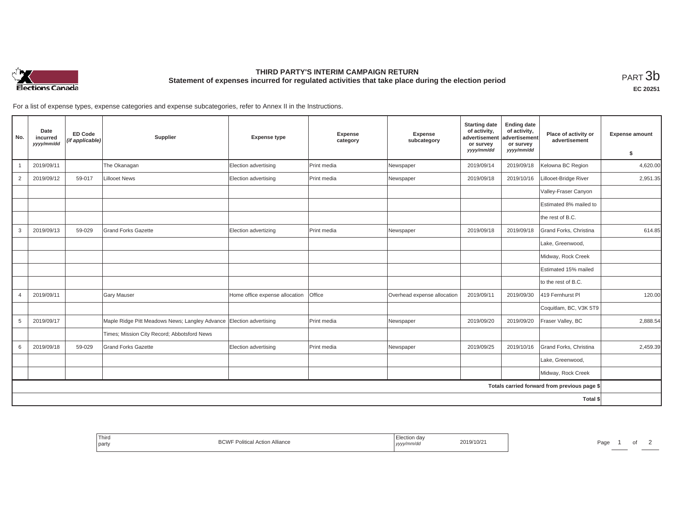

## **THIRD PARTY'S INTERIM CAMPAIGN RETURN Statement of expenses incurred for regulated activities that take place during the election period**<br>РАRТ  $3\mathrm{b}$

**EC 20251**

For a list of expense types, expense categories and expense subcategories, refer to Annex II in the Instructions.

| No.            | Date<br>incurred<br>yyyy/mm/dd | <b>ED Code</b><br>(if applicable) | Supplier                                                            | <b>Expense type</b>            | Expense<br>category | Expense<br>subcategory      | <b>Starting date</b><br>of activity,<br>advertisement<br>or survey<br>yyyy/mm/dd | <b>Ending date</b><br>of activity,<br>advertisement<br>or survey<br>yyyy/mm/dd | Place of activity or<br>advertisement        | <b>Expense amount</b><br>\$ |
|----------------|--------------------------------|-----------------------------------|---------------------------------------------------------------------|--------------------------------|---------------------|-----------------------------|----------------------------------------------------------------------------------|--------------------------------------------------------------------------------|----------------------------------------------|-----------------------------|
|                | 2019/09/11                     |                                   | The Okanagan                                                        | Election advertising           | Print media         | Newspaper                   | 2019/09/14                                                                       | 2019/09/18                                                                     | Kelowna BC Region                            | 4,620.00                    |
| $\overline{2}$ | 2019/09/12                     | 59-017                            | <b>Lillooet News</b>                                                | Election advertising           | Print media         | Newspaper                   | 2019/09/18                                                                       | 2019/10/16                                                                     | Lillooet-Bridge River                        | 2,951.35                    |
|                |                                |                                   |                                                                     |                                |                     |                             |                                                                                  |                                                                                | Valley-Fraser Canyon                         |                             |
|                |                                |                                   |                                                                     |                                |                     |                             |                                                                                  |                                                                                | Estimated 8% mailed to                       |                             |
|                |                                |                                   |                                                                     |                                |                     |                             |                                                                                  |                                                                                | the rest of B.C.                             |                             |
| 3              | 2019/09/13                     | 59-029                            | <b>Grand Forks Gazette</b>                                          | Election advertizing           | Print media         | Newspaper                   | 2019/09/18                                                                       | 2019/09/18                                                                     | Grand Forks, Christina                       | 614.85                      |
|                |                                |                                   |                                                                     |                                |                     |                             |                                                                                  |                                                                                | Lake, Greenwood,                             |                             |
|                |                                |                                   |                                                                     |                                |                     |                             |                                                                                  |                                                                                | Midway, Rock Creek                           |                             |
|                |                                |                                   |                                                                     |                                |                     |                             |                                                                                  |                                                                                | Estimated 15% mailed                         |                             |
|                |                                |                                   |                                                                     |                                |                     |                             |                                                                                  |                                                                                | to the rest of B.C.                          |                             |
| 4              | 2019/09/11                     |                                   | <b>Gary Mauser</b>                                                  | Home office expense allocation | Office              | Overhead expense allocation | 2019/09/11                                                                       | 2019/09/30                                                                     | 419 Fernhurst PI                             | 120.00                      |
|                |                                |                                   |                                                                     |                                |                     |                             |                                                                                  |                                                                                | Coquitlam, BC, V3K 5T9                       |                             |
| 5              | 2019/09/17                     |                                   | Maple Ridge Pitt Meadows News; Langley Advance Election advertising |                                | Print media         | Newspaper                   | 2019/09/20                                                                       | 2019/09/20                                                                     | Fraser Valley, BC                            | 2,888.54                    |
|                |                                |                                   | Times; Mission City Record; Abbotsford News                         |                                |                     |                             |                                                                                  |                                                                                |                                              |                             |
| 6              | 2019/09/18                     | 59-029                            | <b>Grand Forks Gazette</b>                                          | Election advertising           | Print media         | Newspaper                   | 2019/09/25                                                                       | 2019/10/16                                                                     | Grand Forks, Christina                       | 2,459.39                    |
|                |                                |                                   |                                                                     |                                |                     |                             |                                                                                  |                                                                                | Lake, Greenwood,                             |                             |
|                |                                |                                   |                                                                     |                                |                     |                             |                                                                                  |                                                                                | Midway, Rock Creek                           |                             |
|                |                                |                                   |                                                                     |                                |                     |                             |                                                                                  |                                                                                | Totals carried forward from previous page \$ |                             |
|                |                                |                                   |                                                                     |                                |                     |                             |                                                                                  |                                                                                | Total \$                                     |                             |

| <sup>'</sup> Third<br>Alliance<br>$D$ $N$<br>the control of the control of<br>party<br>∟⊃\∡v | Election dav<br>4019/10/21<br>mm/ac<br>,,,,, | Page |
|----------------------------------------------------------------------------------------------|----------------------------------------------|------|
|----------------------------------------------------------------------------------------------|----------------------------------------------|------|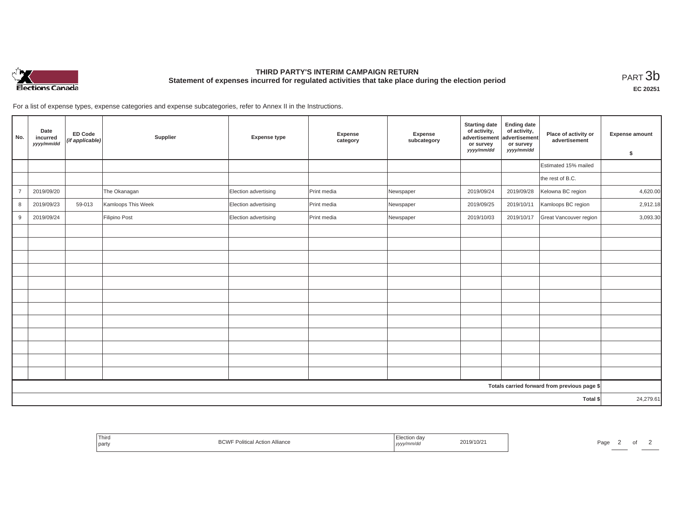

# **THIRD PARTY'S INTERIM CAMPAIGN RETURN Statement of expenses incurred for regulated activities that take place during the election period**<br>РАRТ  $3\mathrm{b}$

**EC 20251**

For a list of expense types, expense categories and expense subcategories, refer to Annex II in the Instructions.

| No.            | Date<br>incurred<br>yyyy/mm/dd | <b>ED Code</b><br>(if applicable) | Supplier           | <b>Expense type</b>  | Expense<br>category | Expense<br>subcategory | <b>Starting date</b><br>of activity,<br>advertisement<br>or survey<br>yyyy/mm/dd | <b>Ending date</b><br>of activity,<br>advertisement<br>or survey<br>yyyy/mm/dd | Place of activity or<br>advertisement        | <b>Expense amount</b><br>\$ |
|----------------|--------------------------------|-----------------------------------|--------------------|----------------------|---------------------|------------------------|----------------------------------------------------------------------------------|--------------------------------------------------------------------------------|----------------------------------------------|-----------------------------|
|                |                                |                                   |                    |                      |                     |                        |                                                                                  |                                                                                | Estimated 15% mailed                         |                             |
|                |                                |                                   |                    |                      |                     |                        |                                                                                  |                                                                                | the rest of B.C.                             |                             |
| $\overline{7}$ | 2019/09/20                     |                                   | The Okanagan       | Election advertising | Print media         | Newspaper              | 2019/09/24                                                                       | 2019/09/28                                                                     | Kelowna BC region                            | 4,620.00                    |
| 8              | 2019/09/23                     | 59-013                            | Kamloops This Week | Election advertising | Print media         | Newspaper              | 2019/09/25                                                                       | 2019/10/11                                                                     | Kamloops BC region                           | 2,912.18                    |
| 9              | 2019/09/24                     |                                   | Filipino Post      | Election advertising | Print media         | Newspaper              | 2019/10/03                                                                       | 2019/10/17                                                                     | Great Vancouver region                       | 3,093.30                    |
|                |                                |                                   |                    |                      |                     |                        |                                                                                  |                                                                                |                                              |                             |
|                |                                |                                   |                    |                      |                     |                        |                                                                                  |                                                                                |                                              |                             |
|                |                                |                                   |                    |                      |                     |                        |                                                                                  |                                                                                |                                              |                             |
|                |                                |                                   |                    |                      |                     |                        |                                                                                  |                                                                                |                                              |                             |
|                |                                |                                   |                    |                      |                     |                        |                                                                                  |                                                                                |                                              |                             |
|                |                                |                                   |                    |                      |                     |                        |                                                                                  |                                                                                |                                              |                             |
|                |                                |                                   |                    |                      |                     |                        |                                                                                  |                                                                                |                                              |                             |
|                |                                |                                   |                    |                      |                     |                        |                                                                                  |                                                                                |                                              |                             |
|                |                                |                                   |                    |                      |                     |                        |                                                                                  |                                                                                |                                              |                             |
|                |                                |                                   |                    |                      |                     |                        |                                                                                  |                                                                                |                                              |                             |
|                |                                |                                   |                    |                      |                     |                        |                                                                                  |                                                                                |                                              |                             |
|                |                                |                                   |                    |                      |                     |                        |                                                                                  |                                                                                |                                              |                             |
|                |                                |                                   |                    |                      |                     |                        |                                                                                  |                                                                                | Totals carried forward from previous page \$ |                             |
|                |                                |                                   |                    |                      |                     |                        |                                                                                  |                                                                                | Total \$                                     | 24,279.61                   |

| Third<br>F Political Action Alliance<br>party | ∟lection day<br>2019/10/21<br>yyyy/mm/dd | Page<br>. . |
|-----------------------------------------------|------------------------------------------|-------------|
|-----------------------------------------------|------------------------------------------|-------------|